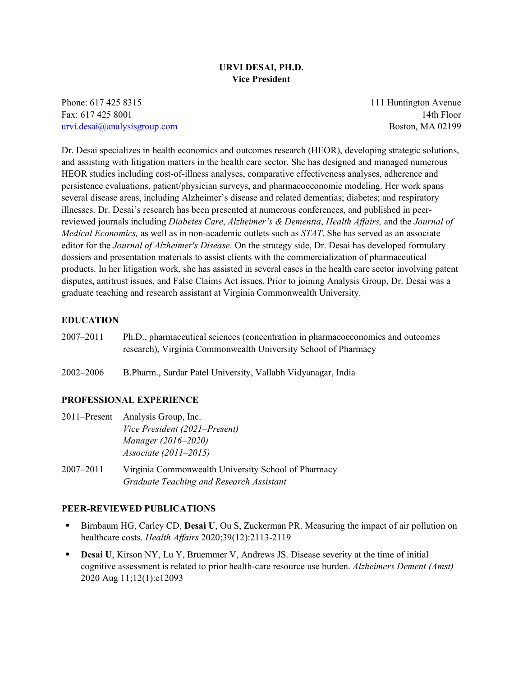# **URVI DESAI, PH.D. Vice President**

Phone: 617 425 8315 111 Huntington Avenue Fax: 617 425 8001 14th Floor [urvi.desai@analysisgroup.com](mailto:urvi.desai@analysisgroup.com) Boston, MA 02199

Dr. Desai specializes in health economics and outcomes research (HEOR), developing strategic solutions, and assisting with litigation matters in the health care sector. She has designed and managed numerous HEOR studies including cost-of-illness analyses, comparative effectiveness analyses, adherence and persistence evaluations, patient/physician surveys, and pharmacoeconomic modeling. Her work spans several disease areas, including Alzheimer's disease and related dementias; diabetes; and respiratory illnesses. Dr. Desai's research has been presented at numerous conferences, and published in peerreviewed journals including *Diabetes Care*, *Alzheimer's & Dementia*, *Health Affairs,* and the *Journal of Medical Economics,* as well as in non-academic outlets such as *STAT*. She has served as an associate editor for the *Journal of Alzheimer's Disease*. On the strategy side, Dr. Desai has developed formulary dossiers and presentation materials to assist clients with the commercialization of pharmaceutical products. In her litigation work, she has assisted in several cases in the health care sector involving patent disputes, antitrust issues, and False Claims Act issues. Prior to joining Analysis Group, Dr. Desai was a graduate teaching and research assistant at Virginia Commonwealth University.

## **EDUCATION**

2007–2011 Ph.D., pharmaceutical sciences (concentration in pharmacoeconomics and outcomes research), Virginia Commonwealth University School of Pharmacy

2002–2006 B.Pharm., Sardar Patel University, Vallabh Vidyanagar, India

### **PROFESSIONAL EXPERIENCE**

|               | 2011–Present Analysis Group, Inc.                                                               |
|---------------|-------------------------------------------------------------------------------------------------|
|               | Vice President (2021–Present)                                                                   |
|               | Manager (2016–2020)                                                                             |
|               | <i>Associate (2011–2015)</i>                                                                    |
| $2007 - 2011$ | Virginia Commonwealth University School of Pharmacy<br>Graduate Teaching and Research Assistant |

#### **PEER-REVIEWED PUBLICATIONS**

- Birnbaum HG, Carley CD, **Desai U**, Ou S, Zuckerman PR. Measuring the impact of air pollution on healthcare costs. *Health Affairs* 2020;39(12):2113-2119
- **Desai** U, Kirson NY, Lu Y, Bruemmer V, Andrews JS. Disease severity at the time of initial cognitive assessment is related to prior health-care resource use burden. *Alzheimers Dement (Amst)* 2020 Aug 11;12(1):e12093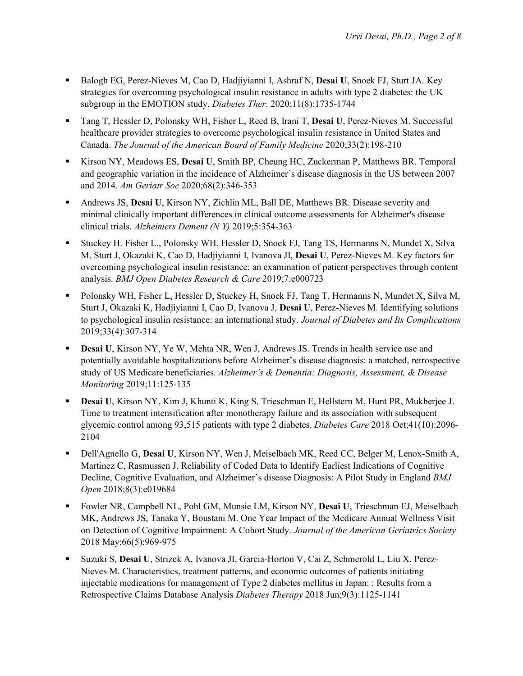- Balogh EG, Perez-Nieves M, Cao D, Hadjiyianni I, Ashraf N, **Desai U**, Snoek FJ, Sturt JA. Key strategies for overcoming psychological insulin resistance in adults with type 2 diabetes: the UK subgroup in the EMOTION study. *Diabetes Ther*. 2020;11(8):1735-1744
- Tang T, Hessler D, Polonsky WH, Fisher L, Reed B, Irani T, **Desai U**, Perez-Nieves M. Successful healthcare provider strategies to overcome psychological insulin resistance in United States and Canada. *The Journal of the American Board of Family Medicine* 2020;33(2):198-210
- Kirson NY, Meadows ES, **Desai U**, Smith BP, Cheung HC, Zuckerman P, Matthews BR. Temporal and geographic variation in the incidence of Alzheimer's disease diagnosis in the US between 2007 and 2014. *Am Geriatr Soc* 2020;68(2):346-353
- Andrews JS, **Desai U**, Kirson NY, Zichlin ML, Ball DE, Matthews BR. Disease severity and minimal clinically important differences in clinical outcome assessments for Alzheimer's disease clinical trials. *Alzheimers Dement (N Y)* 2019;5:354-363
- Stuckey H. Fisher L., Polonsky WH, Hessler D, Snoek FJ, Tang TS, Hermanns N, Mundet X, Silva M, Sturt J, Okazaki K, Cao D, Hadjiyianni I, Ivanova JI, **Desai U**, Perez-Nieves M. Key factors for overcoming psychological insulin resistance: an examination of patient perspectives through content analysis. *BMJ Open Diabetes Research & Care* 2019;7:e000723
- Polonsky WH, Fisher L, Hessler D, Stuckey H, Snoek FJ, Tang T, Hermanns N, Mundet X, Silva M, Sturt J, Okazaki K, Hadjiyianni I, Cao D, Ivanova J, **Desai U**, Perez-Nieves M. Identifying solutions to psychological insulin resistance: an international study. *Journal of Diabetes and Its Complications* 2019;33(4):307-314
- **Desai U, Kirson NY, Ye W, Mehta NR, Wen J, Andrews JS. Trends in health service use and** potentially avoidable hospitalizations before Alzheimer's disease diagnosis: a matched, retrospective study of US Medicare beneficiaries. *Alzheimer's & Dementia: Diagnosis, Assessment, & Disease Monitoring* 2019;11:125-135
- **Desai U**, Kirson NY, Kim J, Khunti K, King S, Trieschman E, Hellstern M, Hunt PR, Mukherjee J. Time to treatment intensification after monotherapy failure and its association with subsequent glycemic control among 93,515 patients with type 2 diabetes. *Diabetes Care* 2018 Oct;41(10):2096- 2104
- Dell'Agnello G, **Desai U**, Kirson NY, Wen J, Meiselbach MK, Reed CC, Belger M, Lenox-Smith A, Martinez C, Rasmussen J. Reliability of Coded Data to Identify Earliest Indications of Cognitive Decline, Cognitive Evaluation, and Alzheimer's disease Diagnosis: A Pilot Study in England *BMJ Open* 2018;8(3):e019684
- Fowler NR, Campbell NL, Pohl GM, Munsie LM, Kirson NY, **Desai U**, Trieschman EJ, Meiselbach MK, Andrews JS, Tanaka Y, Boustani M. One Year Impact of the Medicare Annual Wellness Visit on Detection of Cognitive Impairment: A Cohort Study. *Journal of the American Geriatrics Society* 2018 May;66(5):969-975
- Suzuki S, **Desai U**, Strizek A, Ivanova JI, Garcia-Horton V, Cai Z, Schmerold L, Liu X, Perez-Nieves M. Characteristics, treatment patterns, and economic outcomes of patients initiating injectable medications for management of Type 2 diabetes mellitus in Japan: : Results from a Retrospective Claims Database Analysis *Diabetes Therapy* 2018 Jun;9(3):1125-1141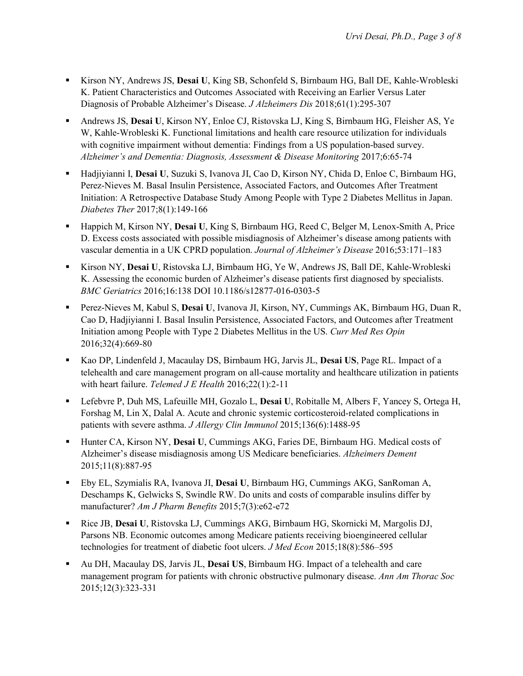- Kirson NY, Andrews JS, **Desai U**, King SB, Schonfeld S, Birnbaum HG, Ball DE, Kahle-Wrobleski K. Patient Characteristics and Outcomes Associated with Receiving an Earlier Versus Later Diagnosis of Probable Alzheimer's Disease. *J Alzheimers Dis* 2018;61(1):295-307
- Andrews JS, **Desai U**, Kirson NY, Enloe CJ, Ristovska LJ, King S, Birnbaum HG, Fleisher AS, Ye W, Kahle-Wrobleski K. Functional limitations and health care resource utilization for individuals with cognitive impairment without dementia: Findings from a US population-based survey. *Alzheimer's and Dementia: Diagnosis, Assessment & Disease Monitoring* 2017;6:65-74
- Hadjiyianni I, **Desai U**, Suzuki S, Ivanova JI, Cao D, Kirson NY, Chida D, Enloe C, Birnbaum HG, Perez-Nieves M. Basal Insulin Persistence, Associated Factors, and Outcomes After Treatment Initiation: A Retrospective Database Study Among People with Type 2 Diabetes Mellitus in Japan. *Diabetes Ther* 2017;8(1):149-166
- Happich M, Kirson NY, **Desai U**, King S, Birnbaum HG, Reed C, Belger M, Lenox-Smith A, Price D. Excess costs associated with possible misdiagnosis of Alzheimer's disease among patients with vascular dementia in a UK CPRD population. *Journal of Alzheimer's Disease* 2016;53:171–183
- Kirson NY, **Desai U**, Ristovska LJ, Birnbaum HG, Ye W, Andrews JS, Ball DE, Kahle-Wrobleski K. Assessing the economic burden of Alzheimer's disease patients first diagnosed by specialists. *BMC Geriatrics* 2016;16:138 DOI 10.1186/s12877-016-0303-5
- Perez-Nieves M, Kabul S, **Desai U**, Ivanova JI, Kirson, NY, Cummings AK, Birnbaum HG, Duan R, Cao D, Hadjiyianni I. Basal Insulin Persistence, Associated Factors, and Outcomes after Treatment Initiation among People with Type 2 Diabetes Mellitus in the US. *Curr Med Res Opin* 2016;32(4):669-80
- Kao DP, Lindenfeld J, Macaulay DS, Birnbaum HG, Jarvis JL, **Desai US**, Page RL. Impact of a telehealth and care management program on all-cause mortality and healthcare utilization in patients with heart failure. *Telemed J E Health* 2016;22(1):2-11
- Lefebvre P, Duh MS, Lafeuille MH, Gozalo L, **Desai U**, Robitalle M, Albers F, Yancey S, Ortega H, Forshag M, Lin X, Dalal A. Acute and chronic systemic corticosteroid-related complications in patients with severe asthma. *J Allergy Clin Immunol* 2015;136(6):1488-95
- Hunter CA, Kirson NY, **Desai U**, Cummings AKG, Faries DE, Birnbaum HG. Medical costs of Alzheimer's disease misdiagnosis among US Medicare beneficiaries. *Alzheimers Dement*  2015;11(8):887-95
- Eby EL, Szymialis RA, Ivanova JI, **Desai U**, Birnbaum HG, Cummings AKG, SanRoman A, Deschamps K, Gelwicks S, Swindle RW. Do units and costs of comparable insulins differ by manufacturer? *Am J Pharm Benefits* 2015;7(3):e62-e72
- Rice JB, **Desai U**, Ristovska LJ, Cummings AKG, Birnbaum HG, Skornicki M, Margolis DJ, Parsons NB. Economic outcomes among Medicare patients receiving bioengineered cellular technologies for treatment of diabetic foot ulcers. *J Med Econ* 2015;18(8):586–595
- Au DH, Macaulay DS, Jarvis JL, **Desai US**, Birnbaum HG. Impact of a telehealth and care management program for patients with chronic obstructive pulmonary disease. *Ann Am Thorac Soc* 2015;12(3):323-331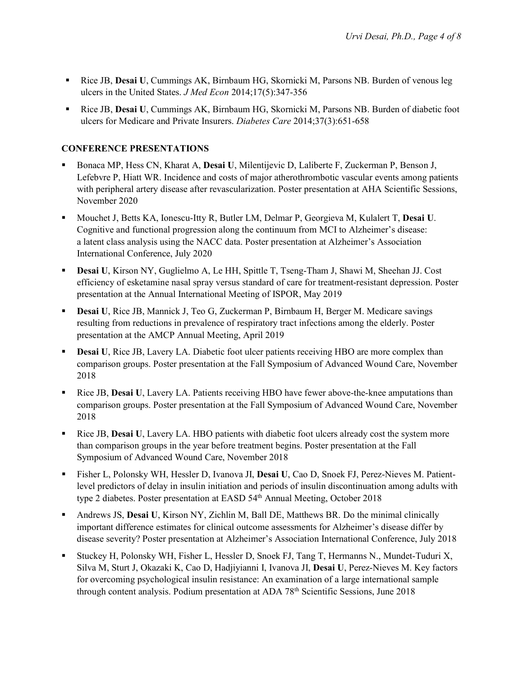- Rice JB, **Desai U**, Cummings AK, Birnbaum HG, Skornicki M, Parsons NB. Burden of venous leg ulcers in the United States. *J Med Econ* 2014;17(5):347-356
- Rice JB, **Desai U**, Cummings AK, Birnbaum HG, Skornicki M, Parsons NB. Burden of diabetic foot ulcers for Medicare and Private Insurers. *Diabetes Care* 2014;37(3):651-658

# **CONFERENCE PRESENTATIONS**

- Bonaca MP, Hess CN, Kharat A, **Desai U**, Milentijevic D, Laliberte F, Zuckerman P, Benson J, Lefebvre P, Hiatt WR. Incidence and costs of major atherothrombotic vascular events among patients with peripheral artery disease after revascularization. Poster presentation at AHA Scientific Sessions, November 2020
- Mouchet J, Betts KA, Ionescu-Itty R, Butler LM, Delmar P, Georgieva M, Kulalert T, **Desai U**. Cognitive and functional progression along the continuum from MCI to Alzheimer's disease: a latent class analysis using the NACC data. Poster presentation at Alzheimer's Association International Conference, July 2020
- **Desai U**, Kirson NY, Guglielmo A, Le HH, Spittle T, Tseng-Tham J, Shawi M, Sheehan JJ. Cost efficiency of esketamine nasal spray versus standard of care for treatment-resistant depression. Poster presentation at the Annual International Meeting of ISPOR, May 2019
- **Desai U**, Rice JB, Mannick J, Teo G, Zuckerman P, Birnbaum H, Berger M. Medicare savings resulting from reductions in prevalence of respiratory tract infections among the elderly. Poster presentation at the AMCP Annual Meeting, April 2019
- **Desai U**, Rice JB, Lavery LA. Diabetic foot ulcer patients receiving HBO are more complex than comparison groups. Poster presentation at the Fall Symposium of Advanced Wound Care, November 2018
- Rice JB, **Desai U**, Lavery LA. Patients receiving HBO have fewer above-the-knee amputations than comparison groups. Poster presentation at the Fall Symposium of Advanced Wound Care, November 2018
- Rice JB, **Desai U**, Lavery LA. HBO patients with diabetic foot ulcers already cost the system more than comparison groups in the year before treatment begins. Poster presentation at the Fall Symposium of Advanced Wound Care, November 2018
- Fisher L, Polonsky WH, Hessler D, Ivanova JI, **Desai U**, Cao D, Snoek FJ, Perez-Nieves M. Patientlevel predictors of delay in insulin initiation and periods of insulin discontinuation among adults with type 2 diabetes. Poster presentation at EASD 54<sup>th</sup> Annual Meeting, October 2018
- Andrews JS, **Desai U**, Kirson NY, Zichlin M, Ball DE, Matthews BR. Do the minimal clinically important difference estimates for clinical outcome assessments for Alzheimer's disease differ by disease severity? Poster presentation at Alzheimer's Association International Conference, July 2018
- Stuckey H, Polonsky WH, Fisher L, Hessler D, Snoek FJ, Tang T, Hermanns N., Mundet-Tuduri X, Silva M, Sturt J, Okazaki K, Cao D, Hadjiyianni I, Ivanova JI, **Desai U**, Perez-Nieves M. Key factors for overcoming psychological insulin resistance: An examination of a large international sample through content analysis. Podium presentation at ADA 78<sup>th</sup> Scientific Sessions, June 2018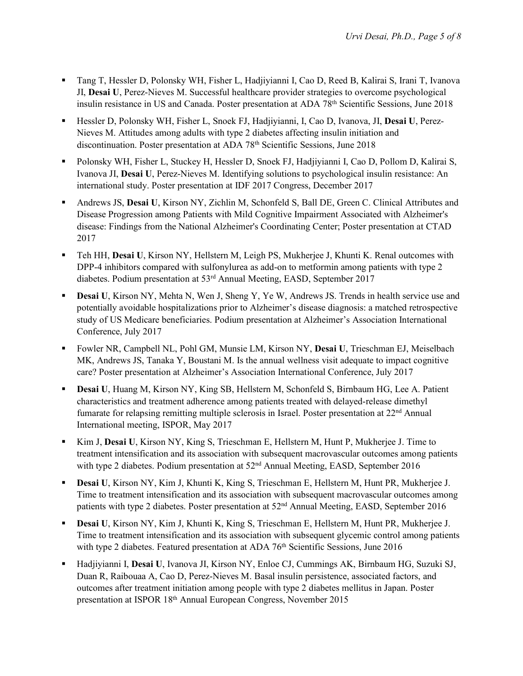- Tang T, Hessler D, Polonsky WH, Fisher L, Hadjiyianni I, Cao D, Reed B, Kalirai S, Irani T, Ivanova JI, **Desai U**, Perez-Nieves M. Successful healthcare provider strategies to overcome psychological insulin resistance in US and Canada. Poster presentation at ADA 78<sup>th</sup> Scientific Sessions, June 2018
- Hessler D, Polonsky WH, Fisher L, Snoek FJ, Hadjiyianni, I, Cao D, Ivanova, JI, **Desai U**, Perez-Nieves M. Attitudes among adults with type 2 diabetes affecting insulin initiation and discontinuation. Poster presentation at ADA 78<sup>th</sup> Scientific Sessions, June 2018
- Polonsky WH, Fisher L, Stuckey H, Hessler D, Snoek FJ, Hadjiyianni I, Cao D, Pollom D, Kalirai S, Ivanova JI, **Desai U**, Perez-Nieves M. Identifying solutions to psychological insulin resistance: An international study. Poster presentation at IDF 2017 Congress, December 2017
- Andrews JS, **Desai U**, Kirson NY, Zichlin M, Schonfeld S, Ball DE, Green C. Clinical Attributes and Disease Progression among Patients with Mild Cognitive Impairment Associated with Alzheimer's disease: Findings from the National Alzheimer's Coordinating Center; Poster presentation at CTAD 2017
- Teh HH, **Desai U**, Kirson NY, Hellstern M, Leigh PS, Mukherjee J, Khunti K. Renal outcomes with DPP-4 inhibitors compared with sulfonylurea as add-on to metformin among patients with type 2 diabetes. Podium presentation at 53<sup>rd</sup> Annual Meeting, EASD, September 2017
- **Desai U**, Kirson NY, Mehta N, Wen J, Sheng Y, Ye W, Andrews JS. Trends in health service use and potentially avoidable hospitalizations prior to Alzheimer's disease diagnosis: a matched retrospective study of US Medicare beneficiaries. Podium presentation at Alzheimer's Association International Conference, July 2017
- Fowler NR, Campbell NL, Pohl GM, Munsie LM, Kirson NY, **Desai U**, Trieschman EJ, Meiselbach MK, Andrews JS, Tanaka Y, Boustani M. Is the annual wellness visit adequate to impact cognitive care? Poster presentation at Alzheimer's Association International Conference, July 2017
- **Desai U, Huang M, Kirson NY, King SB, Hellstern M, Schonfeld S, Birnbaum HG, Lee A. Patient** characteristics and treatment adherence among patients treated with delayed-release dimethyl fumarate for relapsing remitting multiple sclerosis in Israel. Poster presentation at 22<sup>nd</sup> Annual International meeting, ISPOR, May 2017
- Kim J, **Desai U**, Kirson NY, King S, Trieschman E, Hellstern M, Hunt P, Mukherjee J. Time to treatment intensification and its association with subsequent macrovascular outcomes among patients with type 2 diabetes. Podium presentation at  $52<sup>nd</sup>$  Annual Meeting, EASD, September 2016
- **Desai U**, Kirson NY, Kim J, Khunti K, King S, Trieschman E, Hellstern M, Hunt PR, Mukherjee J. Time to treatment intensification and its association with subsequent macrovascular outcomes among patients with type 2 diabetes. Poster presentation at 52<sup>nd</sup> Annual Meeting, EASD, September 2016
- **Desai U**, Kirson NY, Kim J, Khunti K, King S, Trieschman E, Hellstern M, Hunt PR, Mukherjee J. Time to treatment intensification and its association with subsequent glycemic control among patients with type 2 diabetes. Featured presentation at ADA  $76<sup>th</sup>$  Scientific Sessions, June 2016
- Hadjiyianni I, **Desai U**, Ivanova JI, Kirson NY, Enloe CJ, Cummings AK, Birnbaum HG, Suzuki SJ, Duan R, Raibouaa A, Cao D, Perez-Nieves M. Basal insulin persistence, associated factors, and outcomes after treatment initiation among people with type 2 diabetes mellitus in Japan. Poster presentation at ISPOR 18th Annual European Congress, November 2015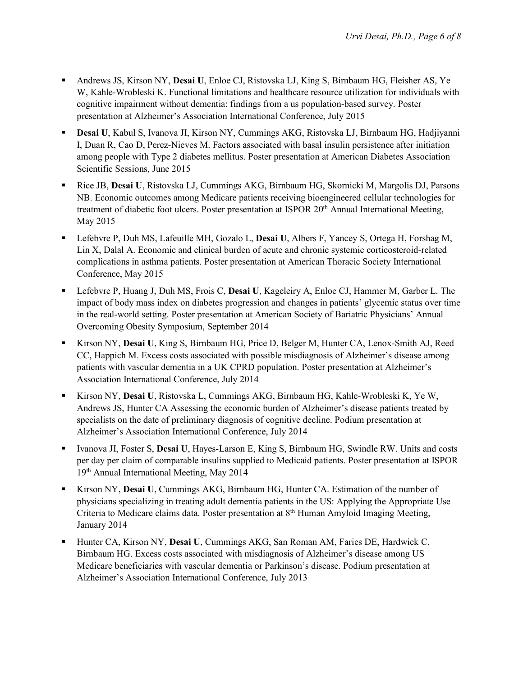- Andrews JS, Kirson NY, **Desai U**, Enloe CJ, Ristovska LJ, King S, Birnbaum HG, Fleisher AS, Ye W, Kahle-Wrobleski K. Functional limitations and healthcare resource utilization for individuals with cognitive impairment without dementia: findings from a us population-based survey. Poster presentation at Alzheimer's Association International Conference, July 2015
- **Desai U**, Kabul S, Ivanova JI, Kirson NY, Cummings AKG, Ristovska LJ, Birnbaum HG, Hadjiyanni I, Duan R, Cao D, Perez-Nieves M. Factors associated with basal insulin persistence after initiation among people with Type 2 diabetes mellitus. Poster presentation at American Diabetes Association Scientific Sessions, June 2015
- Rice JB, **Desai U**, Ristovska LJ, Cummings AKG, Birnbaum HG, Skornicki M, Margolis DJ, Parsons NB. Economic outcomes among Medicare patients receiving bioengineered cellular technologies for treatment of diabetic foot ulcers. Poster presentation at ISPOR 20<sup>th</sup> Annual International Meeting, May 2015
- Lefebvre P, Duh MS, Lafeuille MH, Gozalo L, **Desai U**, Albers F, Yancey S, Ortega H, Forshag M, Lin X, Dalal A. Economic and clinical burden of acute and chronic systemic corticosteroid-related complications in asthma patients. Poster presentation at American Thoracic Society International Conference, May 2015
- Lefebvre P, Huang J, Duh MS, Frois C, **Desai U**, Kageleiry A, Enloe CJ, Hammer M, Garber L. The impact of body mass index on diabetes progression and changes in patients' glycemic status over time in the real-world setting. Poster presentation at American Society of Bariatric Physicians' Annual Overcoming Obesity Symposium, September 2014
- Kirson NY, **Desai U**, King S, Birnbaum HG, Price D, Belger M, Hunter CA, Lenox-Smith AJ, Reed CC, Happich M. Excess costs associated with possible misdiagnosis of Alzheimer's disease among patients with vascular dementia in a UK CPRD population. Poster presentation at Alzheimer's Association International Conference, July 2014
- Kirson NY, **Desai U**, Ristovska L, Cummings AKG, Birnbaum HG, Kahle-Wrobleski K, Ye W, Andrews JS, Hunter CA Assessing the economic burden of Alzheimer's disease patients treated by specialists on the date of preliminary diagnosis of cognitive decline. Podium presentation at Alzheimer's Association International Conference, July 2014
- Ivanova JI, Foster S, **Desai U**, Hayes-Larson E, King S, Birnbaum HG, Swindle RW. Units and costs per day per claim of comparable insulins supplied to Medicaid patients. Poster presentation at ISPOR 19th Annual International Meeting, May 2014
- Kirson NY, **Desai U**, Cummings AKG, Birnbaum HG, Hunter CA. Estimation of the number of physicians specializing in treating adult dementia patients in the US: Applying the Appropriate Use Criteria to Medicare claims data. Poster presentation at 8th Human Amyloid Imaging Meeting, January 2014
- Hunter CA, Kirson NY, **Desai U**, Cummings AKG, San Roman AM, Faries DE, Hardwick C, Birnbaum HG. Excess costs associated with misdiagnosis of Alzheimer's disease among US Medicare beneficiaries with vascular dementia or Parkinson's disease. Podium presentation at Alzheimer's Association International Conference, July 2013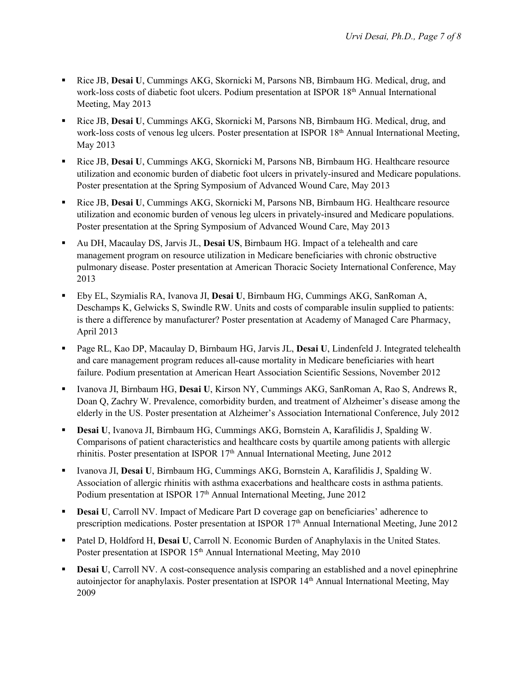- Rice JB, **Desai U**, Cummings AKG, Skornicki M, Parsons NB, Birnbaum HG. Medical, drug, and work-loss costs of diabetic foot ulcers. Podium presentation at ISPOR 18<sup>th</sup> Annual International Meeting, May 2013
- Rice JB, **Desai U**, Cummings AKG, Skornicki M, Parsons NB, Birnbaum HG. Medical, drug, and work-loss costs of venous leg ulcers. Poster presentation at ISPOR 18<sup>th</sup> Annual International Meeting, May 2013
- Rice JB, **Desai U**, Cummings AKG, Skornicki M, Parsons NB, Birnbaum HG. Healthcare resource utilization and economic burden of diabetic foot ulcers in privately-insured and Medicare populations. Poster presentation at the Spring Symposium of Advanced Wound Care, May 2013
- Rice JB, **Desai U**, Cummings AKG, Skornicki M, Parsons NB, Birnbaum HG. Healthcare resource utilization and economic burden of venous leg ulcers in privately-insured and Medicare populations. Poster presentation at the Spring Symposium of Advanced Wound Care, May 2013
- Au DH, Macaulay DS, Jarvis JL, **Desai US**, Birnbaum HG. Impact of a telehealth and care management program on resource utilization in Medicare beneficiaries with chronic obstructive pulmonary disease. Poster presentation at American Thoracic Society International Conference, May 2013
- Eby EL, Szymialis RA, Ivanova JI, **Desai U**, Birnbaum HG, Cummings AKG, SanRoman A, Deschamps K, Gelwicks S, Swindle RW. Units and costs of comparable insulin supplied to patients: is there a difference by manufacturer? Poster presentation at Academy of Managed Care Pharmacy, April 2013
- Page RL, Kao DP, Macaulay D, Birnbaum HG, Jarvis JL, **Desai U**, Lindenfeld J. Integrated telehealth and care management program reduces all-cause mortality in Medicare beneficiaries with heart failure. Podium presentation at American Heart Association Scientific Sessions, November 2012
- Ivanova JI, Birnbaum HG, **Desai U**, Kirson NY, Cummings AKG, SanRoman A, Rao S, Andrews R, Doan Q, Zachry W. Prevalence, comorbidity burden, and treatment of Alzheimer's disease among the elderly in the US. Poster presentation at Alzheimer's Association International Conference, July 2012
- **Desai U**, Ivanova JI, Birnbaum HG, Cummings AKG, Bornstein A, Karafilidis J, Spalding W. Comparisons of patient characteristics and healthcare costs by quartile among patients with allergic rhinitis. Poster presentation at ISPOR 17th Annual International Meeting, June 2012
- Ivanova JI, **Desai U**, Birnbaum HG, Cummings AKG, Bornstein A, Karafilidis J, Spalding W. Association of allergic rhinitis with asthma exacerbations and healthcare costs in asthma patients. Podium presentation at ISPOR 17<sup>th</sup> Annual International Meeting, June 2012
- **Desai U**, Carroll NV. Impact of Medicare Part D coverage gap on beneficiaries' adherence to prescription medications. Poster presentation at ISPOR 17<sup>th</sup> Annual International Meeting, June 2012
- Patel D, Holdford H, **Desai U**, Carroll N. Economic Burden of Anaphylaxis in the United States. Poster presentation at ISPOR 15<sup>th</sup> Annual International Meeting, May 2010
- **Desai U, Carroll NV. A cost-consequence analysis comparing an established and a novel epinephrine** autoinjector for anaphylaxis. Poster presentation at ISPOR 14<sup>th</sup> Annual International Meeting, May 2009